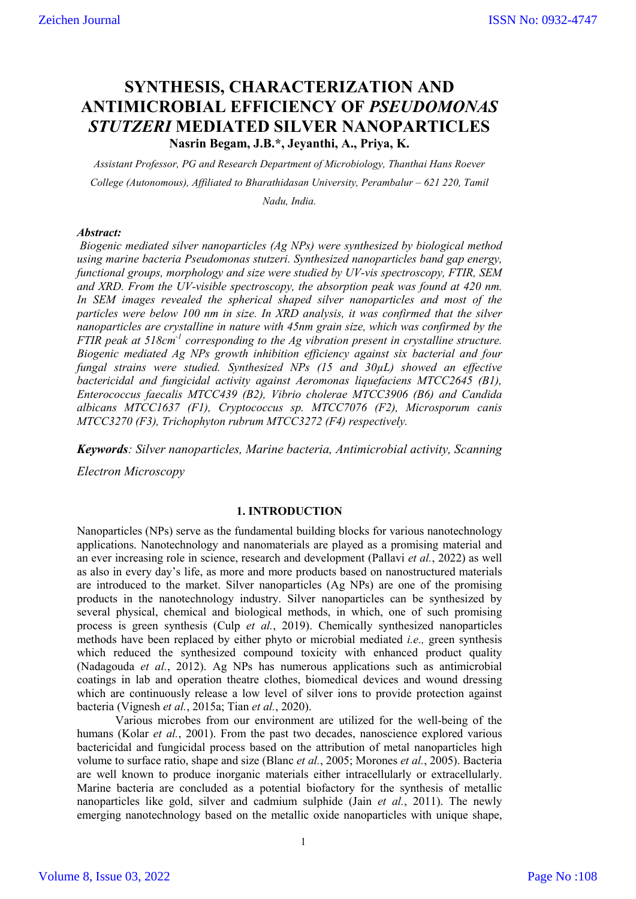# **SYNTHESIS, CHARACTERIZATION AND ANTIMICROBIAL EFFICIENCY OF** *PSEUDOMONAS STUTZERI* **MEDIATED SILVER NANOPARTICLES**

**Nasrin Begam, J.B.\*, Jeyanthi, A., Priya, K.**

*Assistant Professor, PG and Research Department of Microbiology, Thanthai Hans Roever College (Autonomous), Affiliated to Bharathidasan University, Perambalur – 621 220, Tamil* 

*Nadu, India.*

### *Abstract:*

*Biogenic mediated silver nanoparticles (Ag NPs) were synthesized by biological method using marine bacteria Pseudomonas stutzeri. Synthesized nanoparticles band gap energy, functional groups, morphology and size were studied by UV-vis spectroscopy, FTIR, SEM and XRD. From the UV-visible spectroscopy, the absorption peak was found at 420 nm. In SEM images revealed the spherical shaped silver nanoparticles and most of the particles were below 100 nm in size. In XRD analysis, it was confirmed that the silver nanoparticles are crystalline in nature with 45nm grain size, which was confirmed by the FTIR peak at 518cm-1 corresponding to the Ag vibration present in crystalline structure. Biogenic mediated Ag NPs growth inhibition efficiency against six bacterial and four fungal strains were studied. Synthesized NPs (15 and 30µL) showed an effective bactericidal and fungicidal activity against Aeromonas liquefaciens MTCC2645 (B1), Enterococcus faecalis MTCC439 (B2), Vibrio cholerae MTCC3906 (B6) and Candida albicans MTCC1637 (F1), Cryptococcus sp. MTCC7076 (F2), Microsporum canis MTCC3270 (F3), Trichophyton rubrum MTCC3272 (F4) respectively.*

*Keywords: Silver nanoparticles, Marine bacteria, Antimicrobial activity, Scanning* 

*Electron Microscopy*

# **1. INTRODUCTION**

Nanoparticles (NPs) serve as the fundamental building blocks for various nanotechnology applications. Nanotechnology and nanomaterials are played as a promising material and an ever increasing role in science, research and development (Pallavi *et al.*, 2022) as well as also in every day's life, as more and more products based on nanostructured materials are introduced to the market. Silver nanoparticles (Ag NPs) are one of the promising products in the nanotechnology industry. Silver nanoparticles can be synthesized by several physical, chemical and biological methods, in which, one of such promising process is green synthesis (Culp *et al.*, 2019). Chemically synthesized nanoparticles methods have been replaced by either phyto or microbial mediated *i.e.,* green synthesis which reduced the synthesized compound toxicity with enhanced product quality (Nadagouda *et al.*, 2012). Ag NPs has numerous applications such as antimicrobial coatings in lab and operation theatre clothes, biomedical devices and wound dressing which are continuously release a low level of silver ions to provide protection against bacteria (Vignesh *et al.*, 2015a; Tian *et al.*, 2020).

Various microbes from our environment are utilized for the well-being of the humans (Kolar *et al.*, 2001). From the past two decades, nanoscience explored various bactericidal and fungicidal process based on the attribution of metal nanoparticles high volume to surface ratio, shape and size (Blanc *et al.*, 2005; Morones *et al.*, 2005). Bacteria are well known to produce inorganic materials either intracellularly or extracellularly. Marine bacteria are concluded as a potential biofactory for the synthesis of metallic nanoparticles like gold, silver and cadmium sulphide (Jain *et al.*, 2011). The newly emerging nanotechnology based on the metallic oxide nanoparticles with unique shape,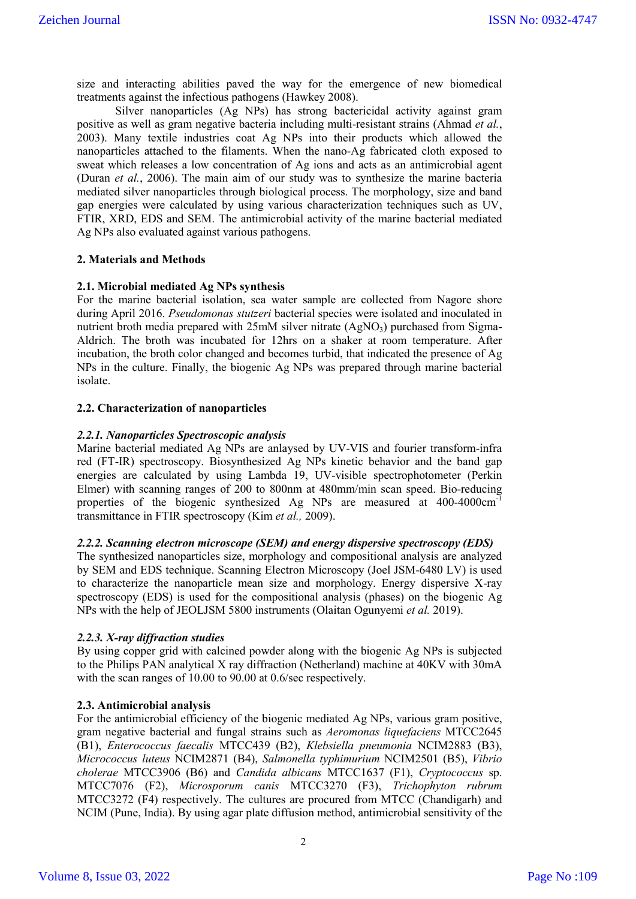size and interacting abilities paved the way for the emergence of new biomedical treatments against the infectious pathogens (Hawkey 2008).

Silver nanoparticles (Ag NPs) has strong bactericidal activity against gram positive as well as gram negative bacteria including multi-resistant strains (Ahmad *et al.*, 2003). Many textile industries coat Ag NPs into their products which allowed the nanoparticles attached to the filaments. When the nano-Ag fabricated cloth exposed to sweat which releases a low concentration of Ag ions and acts as an antimicrobial agent (Duran *et al.*, 2006). The main aim of our study was to synthesize the marine bacteria mediated silver nanoparticles through biological process. The morphology, size and band gap energies were calculated by using various characterization techniques such as UV, FTIR, XRD, EDS and SEM. The antimicrobial activity of the marine bacterial mediated Ag NPs also evaluated against various pathogens.

## **2. Materials and Methods**

## **2.1. Microbial mediated Ag NPs synthesis**

For the marine bacterial isolation, sea water sample are collected from Nagore shore during April 2016. *Pseudomonas stutzeri* bacterial species were isolated and inoculated in nutrient broth media prepared with  $25 \text{mM}$  silver nitrate  $(AgNO<sub>3</sub>)$  purchased from Sigma-Aldrich. The broth was incubated for 12hrs on a shaker at room temperature. After incubation, the broth color changed and becomes turbid, that indicated the presence of Ag NPs in the culture. Finally, the biogenic Ag NPs was prepared through marine bacterial isolate.

## **2.2. Characterization of nanoparticles**

#### *2.2.1. Nanoparticles Spectroscopic analysis*

Marine bacterial mediated Ag NPs are anlaysed by UV-VIS and fourier transform-infra red (FT-IR) spectroscopy. Biosynthesized Ag NPs kinetic behavior and the band gap energies are calculated by using Lambda 19, UV-visible spectrophotometer (Perkin Elmer) with scanning ranges of 200 to 800nm at 480mm/min scan speed. Bio-reducing properties of the biogenic synthesized Ag NPs are measured at 400-4000cm<sup>-1</sup> transmittance in FTIR spectroscopy (Kim *et al.,* 2009).

## *2.2.2. Scanning electron microscope (SEM) and energy dispersive spectroscopy (EDS)*

The synthesized nanoparticles size, morphology and compositional analysis are analyzed by SEM and EDS technique. Scanning Electron Microscopy (Joel JSM-6480 LV) is used to characterize the nanoparticle mean size and morphology. Energy dispersive X-ray spectroscopy (EDS) is used for the compositional analysis (phases) on the biogenic Ag NPs with the help of JEOLJSM 5800 instruments (Olaitan Ogunyemi *et al.* 2019).

#### *2.2.3. X-ray diffraction studies*

By using copper grid with calcined powder along with the biogenic Ag NPs is subjected to the Philips PAN analytical X ray diffraction (Netherland) machine at 40KV with 30mA with the scan ranges of 10.00 to 90.00 at 0.6/sec respectively.

# **2.3. Antimicrobial analysis**

For the antimicrobial efficiency of the biogenic mediated Ag NPs, various gram positive, gram negative bacterial and fungal strains such as *Aeromonas liquefaciens* MTCC2645 (B1), *Enterococcus faecalis* MTCC439 (B2), *Klebsiella pneumonia* NCIM2883 (B3), *Micrococcus luteus* NCIM2871 (B4), *Salmonella typhimurium* NCIM2501 (B5), *Vibrio cholerae* MTCC3906 (B6) and *Candida albicans* MTCC1637 (F1), *Cryptococcus* sp. MTCC7076 (F2), *Microsporum canis* MTCC3270 (F3), *Trichophyton rubrum* MTCC3272 (F4) respectively. The cultures are procured from MTCC (Chandigarh) and NCIM (Pune, India). By using agar plate diffusion method, antimicrobial sensitivity of the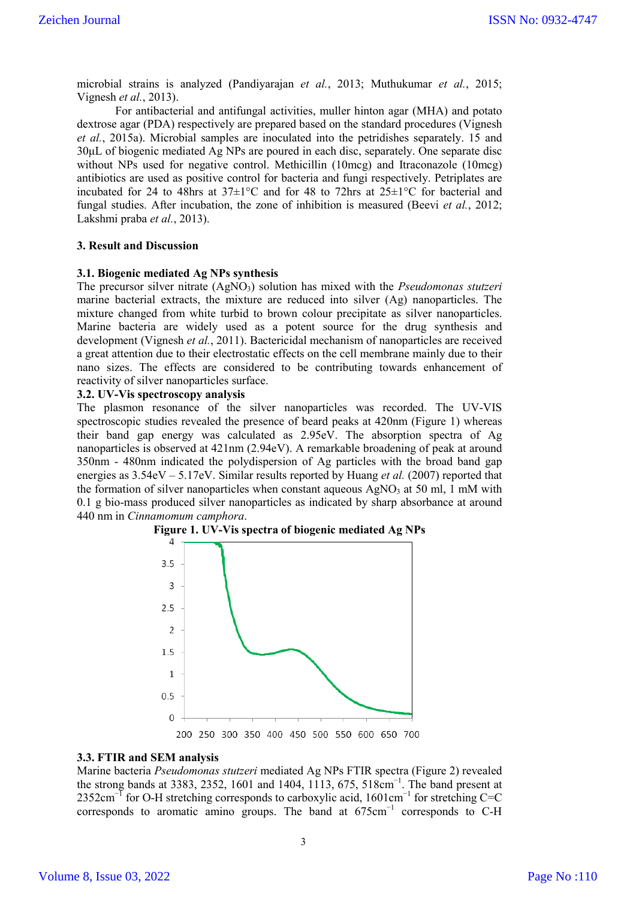microbial strains is analyzed (Pandiyarajan *et al.*, 2013; Muthukumar *et al.*, 2015; Vignesh *et al.*, 2013).

For antibacterial and antifungal activities, muller hinton agar (MHA) and potato dextrose agar (PDA) respectively are prepared based on the standard procedures (Vignesh *et al.*, 2015a). Microbial samples are inoculated into the petridishes separately. 15 and 30μL of biogenic mediated Ag NPs are poured in each disc, separately. One separate disc without NPs used for negative control. Methicillin (10mcg) and Itraconazole (10mcg) antibiotics are used as positive control for bacteria and fungi respectively. Petriplates are incubated for 24 to 48hrs at  $37\pm1\degree$ C and for 48 to 72hrs at  $25\pm1\degree$ C for bacterial and fungal studies. After incubation, the zone of inhibition is measured (Beevi *et al.*, 2012; Lakshmi praba *et al.*, 2013).

#### **3. Result and Discussion**

#### **3.1. Biogenic mediated Ag NPs synthesis**

The precursor silver nitrate (AgNO<sub>3</sub>) solution has mixed with the *Pseudomonas stutzeri* marine bacterial extracts, the mixture are reduced into silver (Ag) nanoparticles. The mixture changed from white turbid to brown colour precipitate as silver nanoparticles. Marine bacteria are widely used as a potent source for the drug synthesis and development (Vignesh *et al.*, 2011). Bactericidal mechanism of nanoparticles are received a great attention due to their electrostatic effects on the cell membrane mainly due to their nano sizes. The effects are considered to be contributing towards enhancement of reactivity of silver nanoparticles surface.

#### **3.2. UV-Vis spectroscopy analysis**

The plasmon resonance of the silver nanoparticles was recorded. The UV-VIS spectroscopic studies revealed the presence of beard peaks at 420nm (Figure 1) whereas their band gap energy was calculated as 2.95eV. The absorption spectra of Ag nanoparticles is observed at 421nm (2.94eV). A remarkable broadening of peak at around 350nm - 480nm indicated the polydispersion of Ag particles with the broad band gap energies as 3.54eV – 5.17eV. Similar results reported by Huang *et al.* (2007) reported that the formation of silver nanoparticles when constant aqueous  $AgNO<sub>3</sub>$  at 50 ml, 1 mM with 0.1 g bio-mass produced silver nanoparticles as indicated by sharp absorbance at around 440 nm in *Cinnamomum camphora*.





#### **3.3. FTIR and SEM analysis**

Marine bacteria *Pseudomonas stutzeri* mediated Ag NPs FTIR spectra (Figure 2) revealed the strong bands at 3383, 2352, 1601 and 1404, 1113, 675, 518cm<sup>-1</sup>. The band present at 2352cm<sup>-1</sup> for O-H stretching corresponds to carboxylic acid, 1601cm<sup>-1</sup> for stretching C=C corresponds to aromatic amino groups. The band at 675cm−1 corresponds to C-H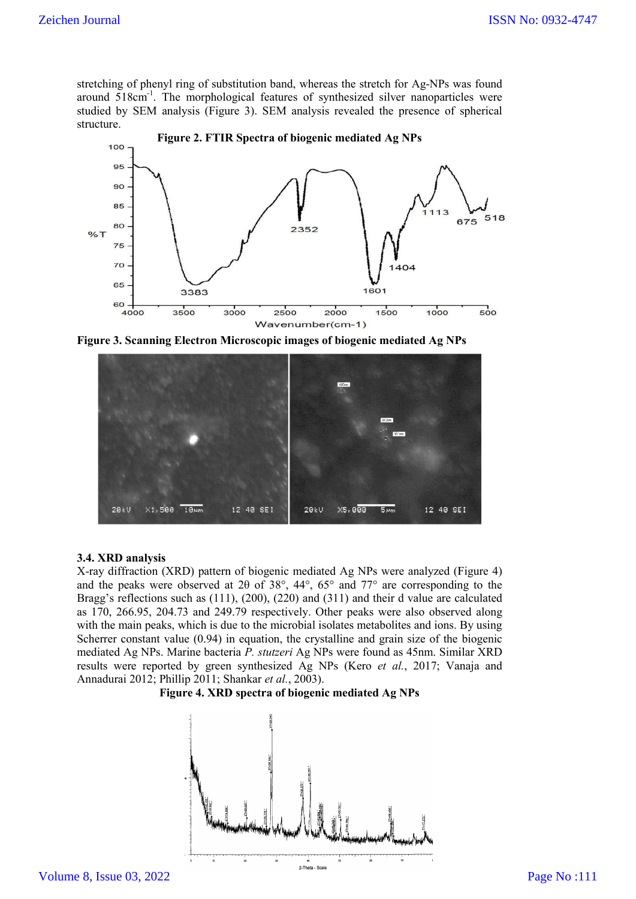stretching of phenyl ring of substitution band, whereas the stretch for Ag-NPs was found around 518cm<sup>-1</sup>. The morphological features of synthesized silver nanoparticles were studied by SEM analysis (Figure 3). SEM analysis revealed the presence of structure.



Figure 3. Scanning Electron Microscopic images of biogenic mediated Ag NPs



# **3.4. XRD analysis**

X-ray diffraction (XRD) pattern of biogenic mediated Ag NPs were analyzed (Figure 4) and the peaks were observed at 2θ of 38 38°, 44°, 65° and 77° are corresponding to the Bragg's reflections such as (111), (200), (220) and (311) and their d value are calculated as 170, 266.95, 204.73 and 249.79 respectively. Other peaks were also observed along with the main peaks, which is due to the microbial isolates metabolites and ions. Scherrer constant value (0.94) in equation, the crystalline and grain size of the biogenic mediated Ag NPs. Marine bacteria *P. stutzeri* Ag NPs were found as 45nm. Similar XRD results were reported by green synthesized Ag NPs (Kero *et al.*, 2017; Vanaja and Annadurai 2012; Phillip 2011; Shankar *et al.*, 2003). 20 of 38°, 44°, 65° and 77° are corresponding to the (200), (220) and (311) and their d value are calculated 9 respectively. Other peaks were also observed along to the microbial isolates metabolites and ions. By using

#### **Figure 4. XRD spectra of biogenic mediated Ag NPs**

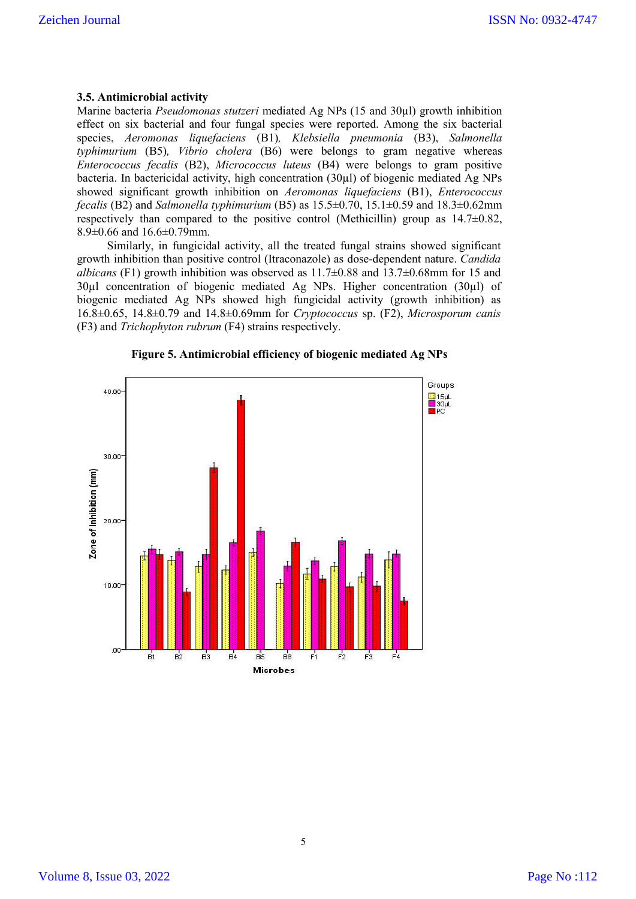#### **3.5. Antimicrobial activity**

Marine bacteria *Pseudomonas stutzeri* mediated Ag NPs (15 and 30µl) growth inhibition effect on six bacterial and four fungal species were reported. Among the six bacterial species, *Aeromonas liquefaciens* (B1)*, Klebsiella pneumonia* (B3), *Salmonella typhimurium* (B5)*, Vibrio cholera* (B6) were belongs to gram negative whereas *Enterococcus fecalis* (B2), *Micrococcus luteus* (B4) were belongs to gram positive bacteria. In bactericidal activity, high concentration (30µl) of biogenic mediated Ag NPs showed significant growth inhibition on *Aeromonas liquefaciens* (B1), *Enterococcus fecalis* (B2) and *Salmonella typhimurium* (B5) as 15.5±0.70, 15.1±0.59 and 18.3±0.62mm respectively than compared to the positive control (Methicillin) group as  $14.7\pm0.82$ , 8.9±0.66 and 16.6±0.79mm.

Similarly, in fungicidal activity, all the treated fungal strains showed significant growth inhibition than positive control (Itraconazole) as dose-dependent nature. *Candida albicans* (F1) growth inhibition was observed as  $11.7\pm0.88$  and  $13.7\pm0.68$  mm for 15 and 30µl concentration of biogenic mediated Ag NPs. Higher concentration (30µl) of biogenic mediated Ag NPs showed high fungicidal activity (growth inhibition) as 16.8±0.65, 14.8±0.79 and 14.8±0.69mm for *Cryptococcus* sp. (F2), *Microsporum canis*  (F3) and *Trichophyton rubrum* (F4) strains respectively.



**Figure 5. Antimicrobial efficiency of biogenic mediated Ag NPs**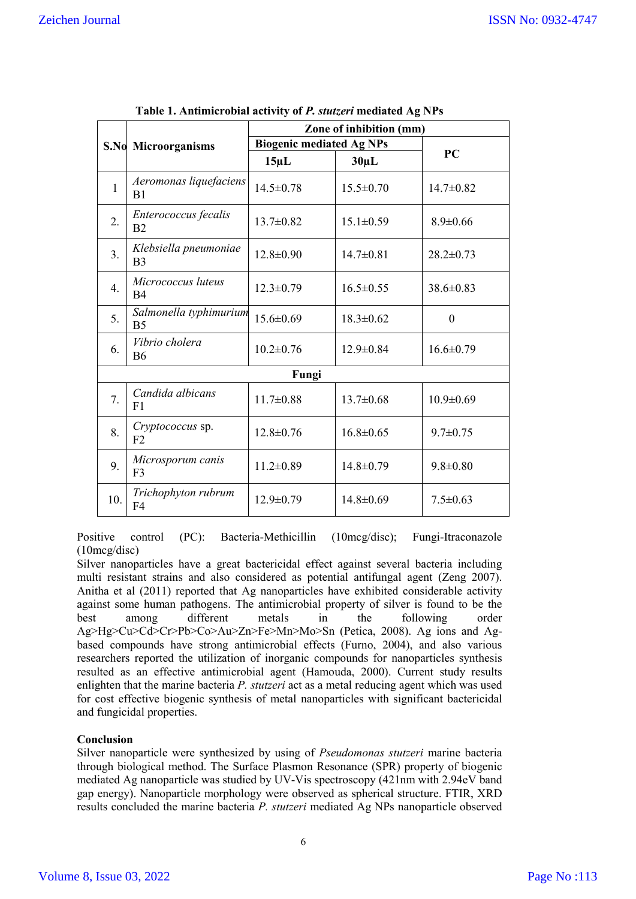|                  | S.No Microorganisms                      | Zone of inhibition (mm)         |                 |                 |  |
|------------------|------------------------------------------|---------------------------------|-----------------|-----------------|--|
|                  |                                          | <b>Biogenic mediated Ag NPs</b> |                 |                 |  |
|                  |                                          | $15 \mu L$                      | $30\mu L$       | PC              |  |
| $\mathbf{1}$     | Aeromonas liquefaciens<br>B <sub>1</sub> | $14.5 \pm 0.78$                 | $15.5 \pm 0.70$ | $14.7 \pm 0.82$ |  |
| 2.               | Enterococcus fecalis<br>B <sub>2</sub>   | $13.7 \pm 0.82$                 | $15.1 \pm 0.59$ | $8.9 \pm 0.66$  |  |
| 3.               | Klebsiella pneumoniae<br>B <sub>3</sub>  | $12.8 \pm 0.90$                 | $14.7 \pm 0.81$ | $28.2 \pm 0.73$ |  |
| $\overline{4}$ . | Micrococcus luteus<br>B <sub>4</sub>     | $12.3 \pm 0.79$                 | $16.5 \pm 0.55$ | 38.6±0.83       |  |
| 5 <sub>1</sub>   | Salmonella typhimurium<br>B <sub>5</sub> | $15.6 \pm 0.69$                 | $18.3 \pm 0.62$ | $\theta$        |  |
| 6.               | Vibrio cholera<br><b>B6</b>              | $10.2 \pm 0.76$                 | $12.9 \pm 0.84$ | $16.6 \pm 0.79$ |  |
| Fungi            |                                          |                                 |                 |                 |  |
| 7.               | Candida albicans<br>F <sub>1</sub>       | $11.7 \pm 0.88$                 | $13.7 \pm 0.68$ | $10.9 \pm 0.69$ |  |
| 8.               | Cryptococcus sp.<br>F <sub>2</sub>       | $12.8 \pm 0.76$                 | $16.8 \pm 0.65$ | $9.7 \pm 0.75$  |  |
| 9.               | Microsporum canis<br>F <sub>3</sub>      | $11.2 \pm 0.89$                 | $14.8 \pm 0.79$ | $9.8 \pm 0.80$  |  |
| 10.              | Trichophyton rubrum<br>F <sub>4</sub>    | $12.9 \pm 0.79$                 | $14.8 \pm 0.69$ | $7.5 \pm 0.63$  |  |

| Table 1. Antimicrobial activity of P. stutzeri mediated Ag NPs |  |  |
|----------------------------------------------------------------|--|--|
|                                                                |  |  |

Positive control (PC): Bacteria-Methicillin (10mcg/disc); Fungi-Itraconazole (10mcg/disc)

Silver nanoparticles have a great bactericidal effect against several bacteria including multi resistant strains and also considered as potential antifungal agent (Zeng 2007). Anitha et al (2011) reported that Ag nanoparticles have exhibited considerable activity against some human pathogens. The antimicrobial property of silver is found to be the best among different metals in the following order Ag>Hg>Cu>Cd>Cr>Pb>Co>Au>Zn>Fe>Mn>Mo>Sn (Petica, 2008). Ag ions and Agbased compounds have strong antimicrobial effects (Furno, 2004), and also various researchers reported the utilization of inorganic compounds for nanoparticles synthesis resulted as an effective antimicrobial agent (Hamouda, 2000). Current study results enlighten that the marine bacteria *P. stutzeri* act as a metal reducing agent which was used for cost effective biogenic synthesis of metal nanoparticles with significant bactericidal and fungicidal properties.

# **Conclusion**

Silver nanoparticle were synthesized by using of *Pseudomonas stutzeri* marine bacteria through biological method. The Surface Plasmon Resonance (SPR) property of biogenic mediated Ag nanoparticle was studied by UV-Vis spectroscopy (421nm with 2.94eV band gap energy). Nanoparticle morphology were observed as spherical structure. FTIR, XRD results concluded the marine bacteria *P. stutzeri* mediated Ag NPs nanoparticle observed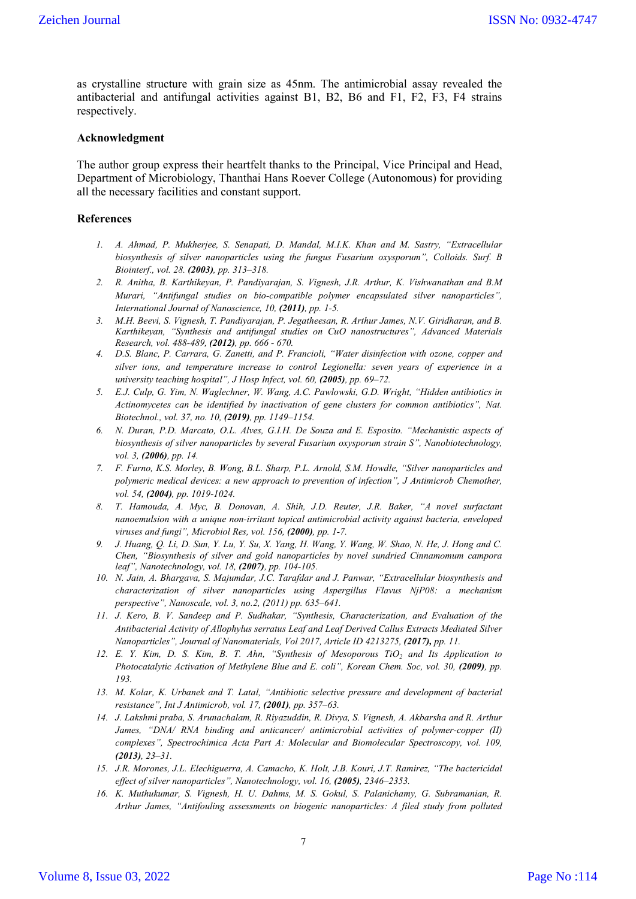as crystalline structure with grain size as 45nm. The antimicrobial assay revealed the antibacterial and antifungal activities against B1, B2, B6 and F1, F2, F3, F4 strains respectively.

#### **Acknowledgment**

The author group express their heartfelt thanks to the Principal, Vice Principal and Head, Department of Microbiology, Thanthai Hans Roever College (Autonomous) for providing all the necessary facilities and constant support.

#### **References**

- *1. A. Ahmad, P. Mukherjee, S. Senapati, D. Mandal, M.I.K. Khan and M. Sastry, "Extracellular biosynthesis of silver nanoparticles using the fungus Fusarium oxysporum", Colloids. Surf. B Biointerf., vol. 28. (2003), pp. 313–318.*
- *2. R. Anitha, B. Karthikeyan, P. Pandiyarajan, S. Vignesh, J.R. Arthur, K. Vishwanathan and B.M Murari, "Antifungal studies on bio-compatible polymer encapsulated silver nanoparticles", International Journal of Nanoscience, 10, (2011), pp. 1-5.*
- *3. M.H. Beevi, S. Vignesh, T. Pandiyarajan, P. Jegatheesan, R. Arthur James, N.V. Giridharan, and B. Karthikeyan, "Synthesis and antifungal studies on CuO nanostructures", Advanced Materials Research, vol. 488-489, (2012), pp. 666 - 670.*
- *4. D.S. Blanc, P. Carrara, G. Zanetti, and P. Francioli, "Water disinfection with ozone, copper and silver ions, and temperature increase to control Legionella: seven years of experience in a university teaching hospital", J Hosp Infect, vol. 60, (2005), pp. 69–72.*
- *5. E.J. Culp, G. Yim, N. Waglechner, W. Wang, A.C. Pawlowski, G.D. Wright, "Hidden antibiotics in Actinomycetes can be identified by inactivation of gene clusters for common antibiotics", Nat. Biotechnol., vol. 37, no. 10, (2019), pp. 1149–1154.*
- *6. N. Duran, P.D. Marcato, O.L. Alves, G.I.H. De Souza and E. Esposito. "Mechanistic aspects of biosynthesis of silver nanoparticles by several Fusarium oxysporum strain S", Nanobiotechnology, vol. 3, (2006), pp. 14.*
- *7. F. Furno, K.S. Morley, B. Wong, B.L. Sharp, P.L. Arnold, S.M. Howdle, "Silver nanoparticles and polymeric medical devices: a new approach to prevention of infection", J Antimicrob Chemother, vol. 54, (2004), pp. 1019-1024.*
- *8. T. Hamouda, A. Myc, B. Donovan, A. Shih, J.D. Reuter, J.R. Baker, "A novel surfactant nanoemulsion with a unique non-irritant topical antimicrobial activity against bacteria, enveloped viruses and fungi", Microbiol Res, vol. 156, (2000), pp. 1-7.*
- *9. J. Huang, Q. Li, D. Sun, Y. Lu, Y. Su, X. Yang, H. Wang, Y. Wang, W. Shao, N. He, J. Hong and C. Chen, "Biosynthesis of silver and gold nanoparticles by novel sundried Cinnamomum campora leaf", Nanotechnology, vol. 18, (2007), pp. 104-105.*
- *10. N. Jain, A. Bhargava, S. Majumdar, J.C. Tarafdar and J. Panwar, "Extracellular biosynthesis and characterization of silver nanoparticles using Aspergillus Flavus NjP08: a mechanism perspective", Nanoscale, vol. 3, no.2, (2011) pp. 635–641.*
- *11. J. Kero, B. V. Sandeep and P. Sudhakar, "Synthesis, Characterization, and Evaluation of the Antibacterial Activity of Allophylus serratus Leaf and Leaf Derived Callus Extracts Mediated Silver Nanoparticles", Journal of Nanomaterials, Vol 2017, Article ID 4213275, (2017), pp. 11.*
- *12. E. Y. Kim, D. S. Kim, B. T. Ahn, "Synthesis of Mesoporous TiO2 and Its Application to Photocatalytic Activation of Methylene Blue and E. coli", Korean Chem. Soc, vol. 30, (2009), pp. 193.*
- *13. M. Kolar, K. Urbanek and T. Latal, "Antibiotic selective pressure and development of bacterial resistance", Int J Antimicrob, vol. 17, (2001), pp. 357–63.*
- *14. J. Lakshmi praba, S. Arunachalam, R. Riyazuddin, R. Divya, S. Vignesh, A. Akbarsha and R. Arthur James, "DNA/ RNA binding and anticancer/ antimicrobial activities of polymer-copper (II) complexes", Spectrochimica Acta Part A: Molecular and Biomolecular Spectroscopy, vol. 109, (2013), 23–31.*
- *15. J.R. Morones, J.L. Elechiguerra, A. Camacho, K. Holt, J.B. Kouri, J.T. Ramirez, "The bactericidal effect of silver nanoparticles", Nanotechnology, vol. 16, (2005), 2346–2353.*
- *16. K. Muthukumar, S. Vignesh, H. U. Dahms, M. S. Gokul, S. Palanichamy, G. Subramanian, R. Arthur James, "Antifouling assessments on biogenic nanoparticles: A filed study from polluted*